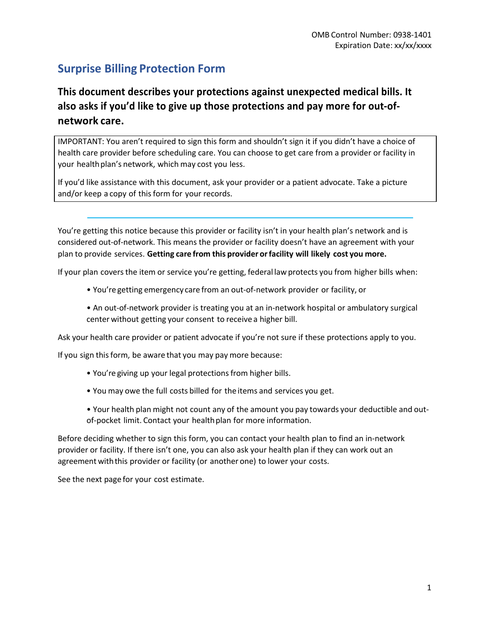# **Surprise Billing Protection Form**

# **This document describes your protections against unexpected medical bills. It also asks if you'd like to give up those protections and pay more for out-ofnetwork care.**

IMPORTANT: You aren't required to sign this form and shouldn't sign it if you didn't have a choice of health care provider before scheduling care. You can choose to get care from a provider or facility in your health plan's network, which may cost you less.

If you'd like assistance with this document, ask your provider or a patient advocate. Take a picture and/or keep a copy of this form for your records.

You're getting this notice because this provider or facility isn't in your health plan's network and is considered out-of-network. This means the provider or facility doesn't have an agreement with your plan to provide services. **Getting care from this provider orfacility will likely cost you more.**

If your plan covers the item or service you're getting, federal law protects you from higher bills when:

- You're getting emergency care from an out-of-network provider or facility, or
- An out-of-network provider is treating you at an in-network hospital or ambulatory surgical center without getting your consent to receive a higher bill.

Ask your health care provider or patient advocate if you're not sure if these protections apply to you.

If you sign this form, be aware that you may pay more because:

- You're giving up your legal protections from higher bills.
- You may owe the full costs billed for the items and services you get.
- Your health plan might not count any of the amount you pay towards your deductible and outof-pocket limit. Contact your health plan for more information.

Before deciding whether to sign this form, you can contact your health plan to find an in-network provider or facility. If there isn't one, you can also ask your health plan if they can work out an agreement withthis provider or facility (or another one) to lower your costs.

See the next page for your cost estimate.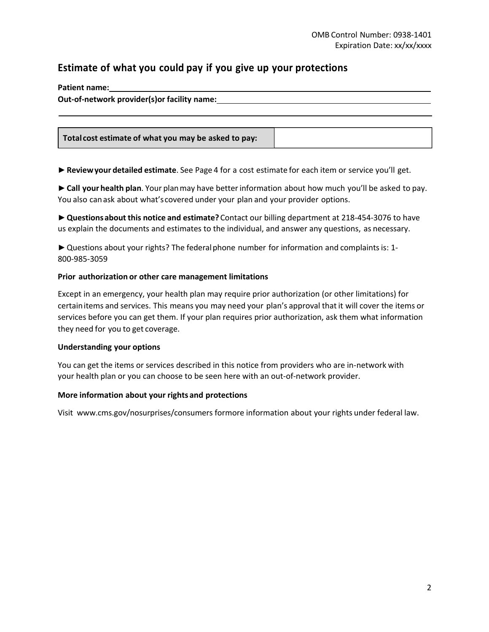### **Estimate of what you could pay if you give up your protections**

**Patient name: Out-of-network provider(s)or facility name:**

**Total cost estimate of what you may be asked to pay:**

►**Reviewyour detailed estimate**. See Page 4 for a cost estimate for each item or service you'll get.

► Call your health plan. Your plan may have better information about how much you'll be asked to pay. You also canask about what'scovered under your plan and your provider options.

►**Questionsabout this notice and estimate?**Contact our billing department at 218-454-3076 to have us explain the documents and estimates to the individual, and answer any questions, as necessary.

► Questions about your rights? The federal phone number for information and complaints is: 1-800-985-3059

### **Prior authorization or other care management limitations**

Except in an emergency, your health plan may require prior authorization (or other limitations) for certainitems and services. This means you may need your plan's approval that it will cover the items or services before you can get them. If your plan requires prior authorization, ask them what information they need for you to get coverage.

#### **Understanding your options**

You can get the items or services described in this notice from providers who are in-network with your health plan or you can choose to be seen here with an out-of-network provider.

#### **More information about your rights and protections**

Visit www.cms.gov/nosurprises/consumers formore information about your rights under federal law.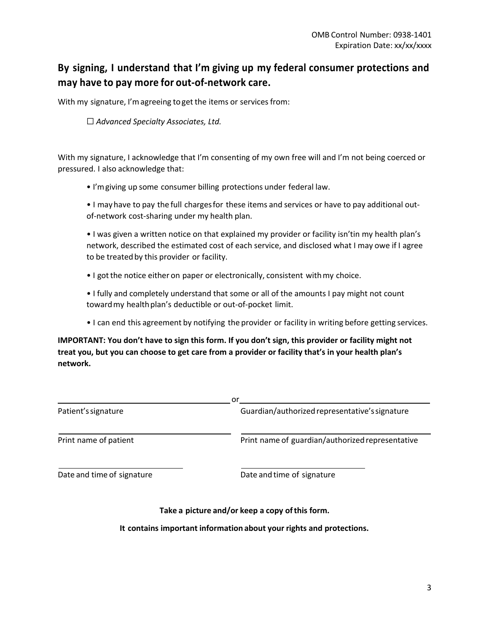## **By signing, I understand that I'm giving up my federal consumer protections and may have to pay more for out-of-network care.**

With my signature, I'm agreeing to get the items or services from:

☐ *Advanced Specialty Associates, Ltd.*

With my signature, I acknowledge that I'm consenting of my own free will and I'm not being coerced or pressured. I also acknowledge that:

• I'mgiving up some consumer billing protections under federal law.

• I mayhave to pay the full chargesfor these items and services or have to pay additional outof-network cost-sharing under my health plan.

• I was given a written notice on that explained my provider or facility isn'tin my health plan's network, described the estimated cost of each service, and disclosed what I may owe if I agree to be treated by this provider or facility.

• I got the notice either on paper or electronically, consistent with my choice.

• I fully and completely understand that some or all of the amounts I pay might not count towardmy healthplan's deductible or out-of-pocket limit.

• I can end this agreement by notifying the provider or facility in writing before getting services.

**IMPORTANT: You don't have to sign this form. If you don't sign, this provider or facility might not treat you, but you can choose to get care from a provider or facility that's in your health plan's network.**

| or                         |                                                  |  |  |  |
|----------------------------|--------------------------------------------------|--|--|--|
| Patient's signature        | Guardian/authorized representative's signature   |  |  |  |
| Print name of patient      | Print name of guardian/authorized representative |  |  |  |
| Date and time of signature | Date and time of signature                       |  |  |  |
|                            | Take a picture and/or keep a copy of this form.  |  |  |  |

### **It contains important information about your rights and protections.**